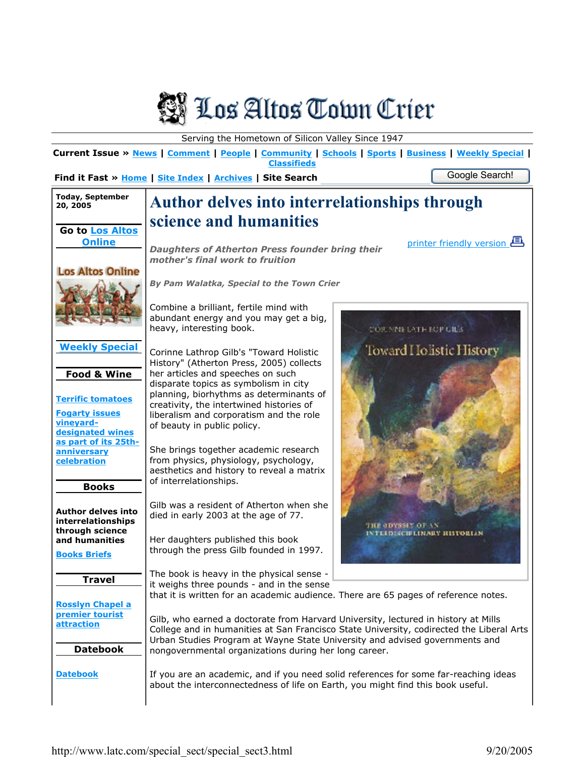

Serving the Hometown of Silicon Valley Since 1947

**Current Issue » News | Comment | People | Community | Schools | Sports | Business | Weekly Special | Classifieds** 

**Find it Fast » Home | Site Index | Archives | Site Search** Google Search!

|                                                                        | Find it Fast » Home   Site Index   Archives   Site Search<br>ooogio oodi ori:                                                                                                                                                                                 |
|------------------------------------------------------------------------|---------------------------------------------------------------------------------------------------------------------------------------------------------------------------------------------------------------------------------------------------------------|
| <b>Today, September</b><br>20, 2005                                    | <b>Author delves into interrelationships through</b>                                                                                                                                                                                                          |
| <b>Go to Los Altos</b>                                                 | science and humanities                                                                                                                                                                                                                                        |
| <b>Online</b>                                                          | <u>printer friendly version</u><br><b>Daughters of Atherton Press founder bring their</b><br>mother's final work to fruition                                                                                                                                  |
| <b>Los Altos Online</b>                                                | By Pam Walatka, Special to the Town Crier                                                                                                                                                                                                                     |
|                                                                        | Combine a brilliant, fertile mind with<br>abundant energy and you may get a big,<br>heavy, interesting book.<br><b>CORNNELATE ECP GILS</b>                                                                                                                    |
| <b>Weekly Special</b><br><b>Food &amp; Wine</b>                        | Toward Holistic History<br>Corinne Lathrop Gilb's "Toward Holistic<br>History" (Atherton Press, 2005) collects<br>her articles and speeches on such                                                                                                           |
| <b>Terrific tomatoes</b><br><b>Fogarty issues</b><br>vineyard-         | disparate topics as symbolism in city<br>planning, biorhythms as determinants of<br>creativity, the intertwined histories of<br>liberalism and corporatism and the role<br>of beauty in public policy.                                                        |
| designated wines<br>as part of its 25th-<br>anniversary<br>celebration | She brings together academic research<br>from physics, physiology, psychology,<br>aesthetics and history to reveal a matrix<br>of interrelationships.                                                                                                         |
| <b>Books</b><br><b>Author delves into</b><br>interrelationships        | Gilb was a resident of Atherton when she<br>died in early 2003 at the age of 77.<br>THE ODYSSEN OF AN                                                                                                                                                         |
| through science<br>and humanities<br><b>Books Briefs</b>               | <b>ISCIFLINARY RISTORIAN</b><br>Her daughters published this book<br>through the press Gilb founded in 1997.                                                                                                                                                  |
| <b>Travel</b>                                                          | The book is heavy in the physical sense -<br>it weighs three pounds - and in the sense<br>that it is written for an academic audience. There are 65 pages of reference notes.                                                                                 |
| <b>Rosslyn Chapel a</b><br>premier tourist<br>attraction               | Gilb, who earned a doctorate from Harvard University, lectured in history at Mills<br>College and in humanities at San Francisco State University, codirected the Liberal Arts<br>Urban Studies Program at Wayne State University and advised governments and |
| <b>Datebook</b>                                                        | nongovernmental organizations during her long career.                                                                                                                                                                                                         |
| <b>Datebook</b>                                                        | If you are an academic, and if you need solid references for some far-reaching ideas<br>about the interconnectedness of life on Earth, you might find this book useful.                                                                                       |